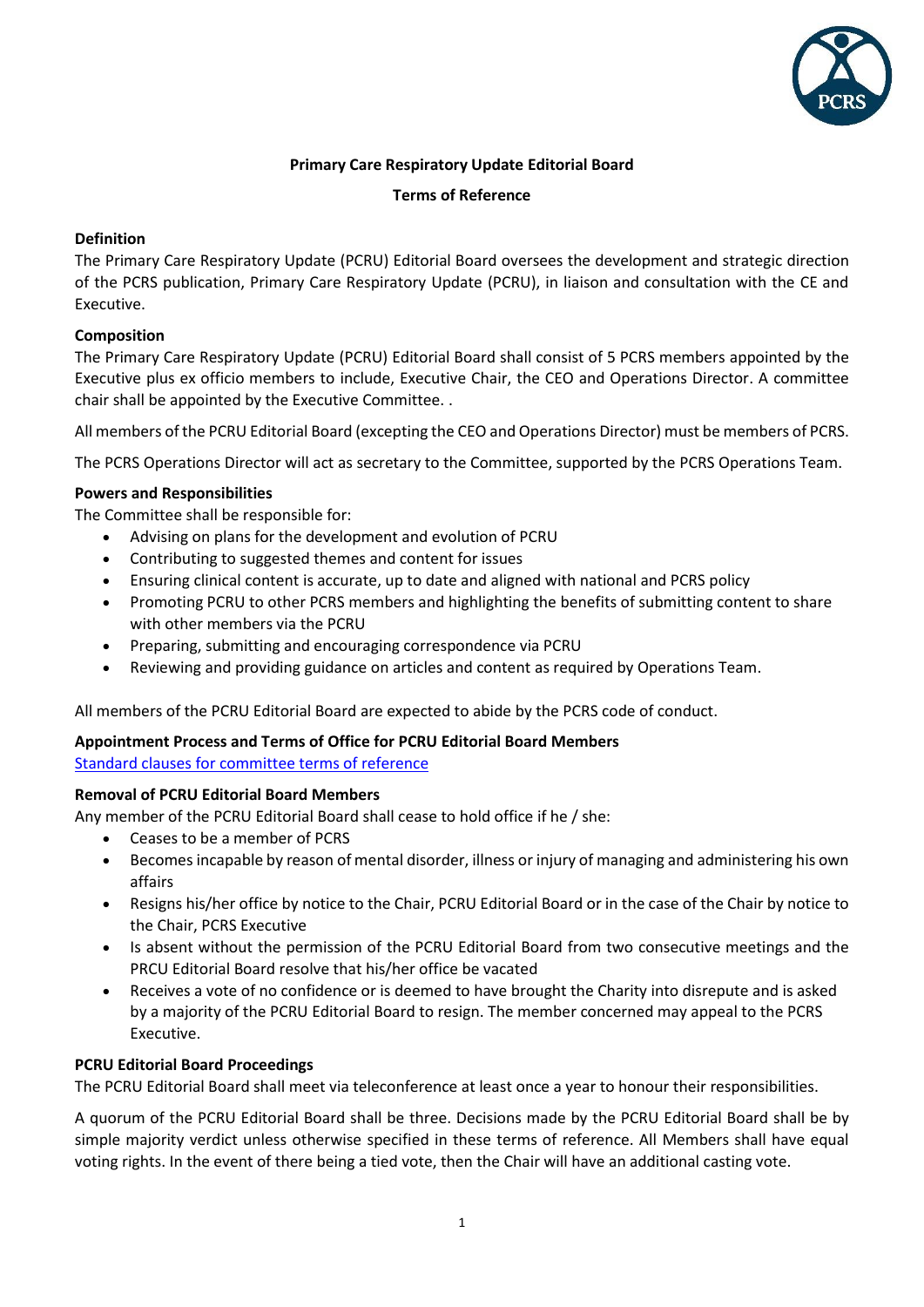

# **Primary Care Respiratory Update Editorial Board**

#### **Terms of Reference**

## **Definition**

The Primary Care Respiratory Update (PCRU) Editorial Board oversees the development and strategic direction of the PCRS publication, Primary Care Respiratory Update (PCRU), in liaison and consultation with the CE and Executive.

## **Composition**

The Primary Care Respiratory Update (PCRU) Editorial Board shall consist of 5 PCRS members appointed by the Executive plus ex officio members to include, Executive Chair, the CEO and Operations Director. A committee chair shall be appointed by the Executive Committee. .

All members of the PCRU Editorial Board (excepting the CEO and Operations Director) must be members of PCRS.

The PCRS Operations Director will act as secretary to the Committee, supported by the PCRS Operations Team.

### **Powers and Responsibilities**

The Committee shall be responsible for:

- Advising on plans for the development and evolution of PCRU
- Contributing to suggested themes and content for issues
- Ensuring clinical content is accurate, up to date and aligned with national and PCRS policy
- Promoting PCRU to other PCRS members and highlighting the benefits of submitting content to share with other members via the PCRU
- Preparing, submitting and encouraging correspondence via PCRU
- Reviewing and providing guidance on articles and content as required by Operations Team.

All members of the PCRU Editorial Board are expected to abide by the PCRS code of conduct.

# **Appointment Process and Terms of Office for PCRU Editorial Board Members**

[Standard clauses for committee terms of reference](https://www.pcrs-uk.org/sites/pcrs-uk.org/files/executive/2019_02_04_Standard_Clauses_Committee_TOR.pdf)

### **Removal of PCRU Editorial Board Members**

Any member of the PCRU Editorial Board shall cease to hold office if he / she:

- Ceases to be a member of PCRS
- Becomes incapable by reason of mental disorder, illness or injury of managing and administering his own affairs
- Resigns his/her office by notice to the Chair, PCRU Editorial Board or in the case of the Chair by notice to the Chair, PCRS Executive
- Is absent without the permission of the PCRU Editorial Board from two consecutive meetings and the PRCU Editorial Board resolve that his/her office be vacated
- Receives a vote of no confidence or is deemed to have brought the Charity into disrepute and is asked by a majority of the PCRU Editorial Board to resign. The member concerned may appeal to the PCRS Executive.

### **PCRU Editorial Board Proceedings**

The PCRU Editorial Board shall meet via teleconference at least once a year to honour their responsibilities.

A quorum of the PCRU Editorial Board shall be three. Decisions made by the PCRU Editorial Board shall be by simple majority verdict unless otherwise specified in these terms of reference. All Members shall have equal voting rights. In the event of there being a tied vote, then the Chair will have an additional casting vote.